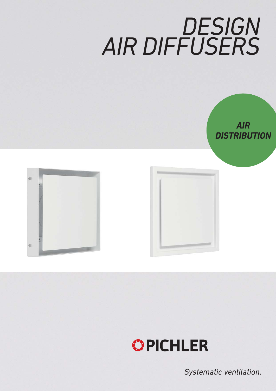# *DESIGN AIR DIFFUSERS*







*Systematic ventilation.*

*AIR*

*DISTRIBUTION*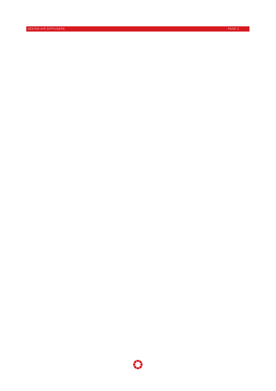##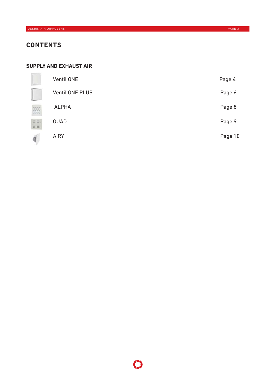## **CONTENTS**

## **SUPPLY AND EXHAUST AIR**

|                     | <b>Ventil ONE</b>      | Page 4  |
|---------------------|------------------------|---------|
|                     | <b>Ventil ONE PLUS</b> | Page 6  |
|                     | <b>ALPHA</b>           | Page 8  |
| <br><br>0.0.0.0.0.1 | QUAD                   | Page 9  |
|                     | <b>AIRY</b>            | Page 10 |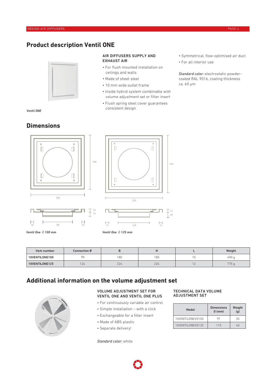## **Product description Ventil ONE**



*Ventil ONE*

## **Dimensions**

#### AIR DIFFUSERS SUPPLY AND EXHAUST AIR

- For flush mounted installation on ceilings and walls
- Made of sheet steel
- 10 mm wide outlet frame
- Inside hybrid system combinable with volume adjustment set or filter insert
- Flush spring steel cover guarantees consistent design
- Symmetrical, flow-optimised air duct
- For all interior use

*Standard color:* electrostatic powdercoated RAL 9016, coating thickness ca. 60 μm







*Ventil One* Ø *100 mm Ventil One* Ø *125 mm*



| Ventil One  0 125 mm |  |  |
|----------------------|--|--|
|                      |  |  |

| Item number    | Connection Ø |     |     |                          | Weight |
|----------------|--------------|-----|-----|--------------------------|--------|
| 10VENTILONE100 | 00           | 180 | 180 | $\overline{\phantom{a}}$ | 490 g  |
| 10VENTILONE125 | 124          | 224 | 224 |                          | 775a   |

## **Additional information on the volume adjustment set**



#### VOLUME ADJUSTMENT SET FOR VENTIL ONE AND VENTIL ONE PLUS

- For continuously variable air control
- Simple installation with a click
- Exchangeable for a filter insert
- Made of ABS plastic
- Separate delivery!

*Standard color:* white

#### TECHNICAL DATA VOLUME ADJUSTMENT SET

| Model            | <b>Dimensions</b><br>$Ø$ (mm) | Weight<br>(q) |
|------------------|-------------------------------|---------------|
| 10VENTILONEVO100 |                               | 2Ο            |
| 10VENTILONEV0125 | 115                           | 40            |

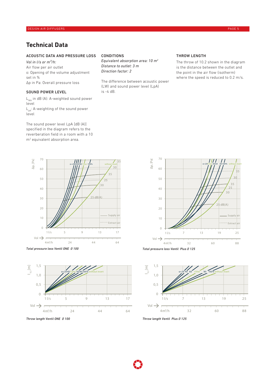## **Technical Data**

#### ACOUSTIC DATA AND PRESSURE LOSS

*Vol in l/s or m³/h:*  Air flow per air outlet o: Opening of the volume adjustment set in % Δp in Pa: Overall pressure loss

#### SOUND POWER LEVEL

 $L_{wa}$  in dB (A): A-weighted sound power level  $L_{pA}$ : A-weighting of the sound power level

The sound power level LpA [dB (A)] specified in the diagram refers to the reverberation field in a room with a 10 m<sup>2</sup> equivalent absorption area.

#### CONDITIONS

*Equivalent absorption area: 10 m2 Distance to outlet: 3 m Direction factor: 2*

The difference between acoustic power (LW) and sound power level (LpA) is -4 dB.

#### THROW LENGTH

The throw of 10.2 shown in the diagram is the distance between the outlet and the point in the air flow (isotherm) where the speed is reduced to 0.2 m/s.









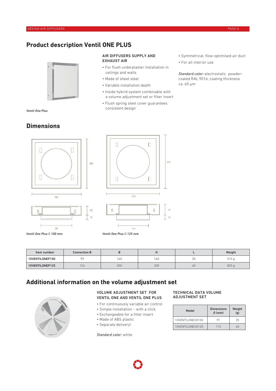## **Product description Ventil ONE PLUS**



*Ventil One Plus*

## **Dimensions**

#### AIR DIFFUSERS SUPPLY AND EXHAUST AIR

- For flush underplaster installation in ceilings and walls
- Made of sheet steel
- Variable installation depth
- Inside hybrid system combinable with a volume adjustment set or filter insert
- Flush spring steel cover guarantees consistent design
- Symmetrical, flow-optimised air duct
- For all interior use

*Standard color:* electrostatic powdercoated RAL 9016, coating thickness ca. 60 μm





99 *Ventil One Plus* Ø *100 mm Ventil One Plus* Ø *125 mm*

| Item number     | Connection Ø |     |     |    | Weight  |
|-----------------|--------------|-----|-----|----|---------|
| 10VENTILONEP100 | $^{\circ}$   | 60  | 160 | 30 | 5 I U G |
| 10VENTILONEP125 | 124          | 200 | 200 | 40 | 820q    |

## **Additional information on the volume adjustment set**

 $15$ 



#### VOLUME ADJUSTMENT SET FOR VENTIL ONE AND VENTIL ONE PLUS

- For continuously variable air control
- Simple installation with a click
- Exchangeable for a filter insert
- Made of ABS plastic
- Separate delivery!

*Standard color:* white

#### TECHNICAL DATA VOLUME ADJUSTMENT SET

| Model            | <b>Dimensions</b><br>$Ø$ (mm) | Weight<br>(q) |
|------------------|-------------------------------|---------------|
| 10VENTILONEV0100 |                               | 20            |
| 10VENTILONEV0125 | 115                           | 40            |

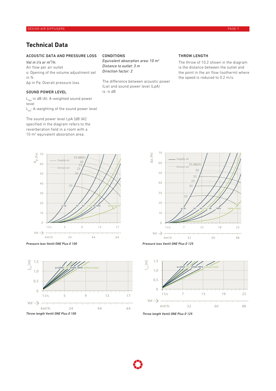## **Technical Data**

#### ACOUSTIC DATA AND PRESSURE LOSS

*Vol in l/s or m³/h:*  Air flow per air outlet o: Opening of the volume adjustment set in % Δp in Pa: Overall pressure loss

#### SOUND POWER LEVEL

 $L_{wa}$  in dB (A): A-weighted sound power level

 $L_{pA}$ : A-weighting of the sound power level

The sound power level LpA [dB (A)] specified in the diagram refers to the reverberation field in a room with a 10 m<sup>2</sup> equivalent absorption area.

#### CONDITIONS

*Equivalent absorption area: 10 m2 Distance to outlet: 3 m Direction factor: 2*

The difference between acoustic power (Lw) and sound power level (LpA) is -4 dB

#### THROW LENGTH

The throw of 10.2 shown in the diagram is the distance between the outlet and the point in the air flow (isotherm) where the speed is reduced to 0.2 m/s.











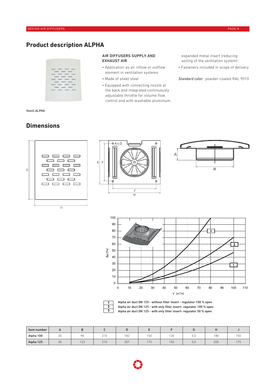## **Product description ALPHA**

|                   |  |                         |  | $\frac{1}{2} \left( \frac{1}{2} \right) \left( \frac{1}{2} \right) \left( \frac{1}{2} \right) \left( \frac{1}{2} \right) \left( \frac{1}{2} \right) \left( \frac{1}{2} \right) \left( \frac{1}{2} \right) \left( \frac{1}{2} \right) \left( \frac{1}{2} \right) \left( \frac{1}{2} \right) \left( \frac{1}{2} \right) \left( \frac{1}{2} \right) \left( \frac{1}{2} \right) \left( \frac{1}{2} \right) \left( \frac{1}{2} \right) \left( \frac{1}{2} \right) \left( \frac$ |
|-------------------|--|-------------------------|--|----------------------------------------------------------------------------------------------------------------------------------------------------------------------------------------------------------------------------------------------------------------------------------------------------------------------------------------------------------------------------------------------------------------------------------------------------------------------------|
|                   |  | $m = 1000$              |  |                                                                                                                                                                                                                                                                                                                                                                                                                                                                            |
|                   |  |                         |  | ----                                                                                                                                                                                                                                                                                                                                                                                                                                                                       |
|                   |  | provide - months - 1939 |  |                                                                                                                                                                                                                                                                                                                                                                                                                                                                            |
|                   |  |                         |  | count board down town                                                                                                                                                                                                                                                                                                                                                                                                                                                      |
|                   |  | moved moved stage       |  |                                                                                                                                                                                                                                                                                                                                                                                                                                                                            |
|                   |  |                         |  | count transit stress more                                                                                                                                                                                                                                                                                                                                                                                                                                                  |
|                   |  | <b>CONTROL</b> SERVICE  |  |                                                                                                                                                                                                                                                                                                                                                                                                                                                                            |
| neer were seen as |  |                         |  |                                                                                                                                                                                                                                                                                                                                                                                                                                                                            |

*Ventil ALPHA* 

## **Dimensions**

#### AIR DIFFUSERS SUPPLY AND EXHAUST AIR

- Application as air inflow or outflow element in ventilation systems
- Made of sheet steel
- Equipped with connecting nozzle at the back and integrated continuously adjustable throttle for volume flow control and with washable aluminium

 expanded metal insert (reducing soiling of the ventilation system)

• Fasteners included in scope of delivery

*Standard color:* powder-coated RAL 9010









**1 2 3**

Alpha air duct DN 125 - without filter insert - regulator 100 % open Alpha air duct DN 125 - with only filter insert- regulator 100 % open Alpha air duct DN 125 - with only filter insert- regulator 100 % open<br>Alpha air duct DN 125 - with only filter insert- regulator 50 % open

| Item number | $\mathbf{\mathsf{r}}$ |              |     |     |             |            |             |     |      |
|-------------|-----------------------|--------------|-----|-----|-------------|------------|-------------|-----|------|
| Alpha 100   | $\sim$<br>3U          | QQ           | 210 | 182 | 150         | 130<br>∣∪∪ | $ -$<br>5,5 | 180 | 150  |
| Alpha 125   | 30                    | 122<br>ن ۱ د | 210 | 207 | 175<br>17 J | 155        | $ -$<br>5,5 | 205 | 17 U |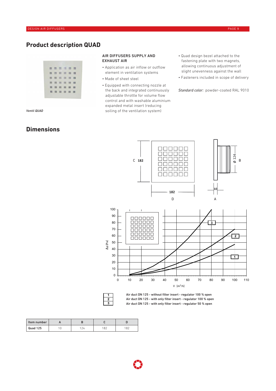## **Product description QUAD**

|  |  | 图画图顶圆图      |  |  |  |
|--|--|-------------|--|--|--|
|  |  | ■ ■ 甲 容 器 ■ |  |  |  |
|  |  | 日日日日日日      |  |  |  |
|  |  | 日日日日日日      |  |  |  |
|  |  | 图 链 四 四 四 四 |  |  |  |
|  |  | 福田田田田田      |  |  |  |

*Ventil QUAD*

## **Dimensions**

#### AIR DIFFUSERS SUPPLY AND EXHAUST AIR

- Application as air inflow or outflow element in ventilation systems
- Made of sheet steel
- Equipped with connecting nozzle at the back and integrated continuously adjustable throttle for volume flow control and with washable aluminium expanded metal insert (reducing soiling of the ventilation system)
- Quad design bezel attached to the fastening plate with two magnets, allowing continuous adjustment of slight unevenness against the wall
- Fasteners included in scope of delivery

*Standard color:* powder-coated RAL 9010





Air duct DN 125 - without filter insert - regulator 100 % open Air duct DN 125 - with only filter insert - regulator 100 % open Air duct DN 125 - with only filter insert - regulator 50 % open

| I Item number   |  |         |  |  |
|-----------------|--|---------|--|--|
| <b>Quad 125</b> |  | $\circ$ |  |  |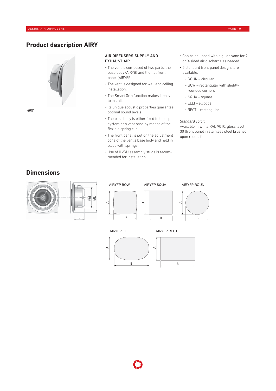## **Product description AIRY**



 *AIRY*

#### AIR DIFFUSERS SUPPLY AND EXHAUST AIR

- The vent is composed of two parts: the base body (AIRYB) and the flat front panel (AIRYFP).
- The vent is designed for wall and ceiling installation.
- The Smart Grip function makes it easy to install.
- Its unique acoustic properties guarantee optimal sound levels.
- The base body is either fixed to the pipe system or a vent base by means of the flexible spring clip.
- The front panel is put on the adjustment cone of the vent's base body and held in place with springs.
- Use of ILVRU assembly studs is recommended for installation.
- Can be equipped with a guide vane for 2 or 3-sided air discharge as needed.
- 5 standard front panel designs are available:
	- ROUN circular
	- BOW rectangular with slightly rounded corners
	- SQUA square
	- ELLI elliptical
	- RECT rectangular

#### *Standard color:*

Available in white RAL 9010, gloss level 30 (front panel in stainless steel brushed upon request)

## **Dimensions**









AIRYFP ELLI AIRYFP RECT



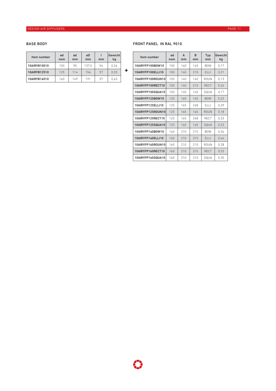| Item number  | ød<br>nom | ød<br>mm | øD<br>mm | mm | Gewicht<br>kg |  |
|--------------|-----------|----------|----------|----|---------------|--|
| 10AIRYB10010 | 100       | 90       | 137.5    | 54 | 0.26          |  |
| 10AIRYB12510 | 125       | 114      | 156      | 57 | 0.33          |  |
| 10AIRYB16010 | 160       | 149      | 191      | 57 | 0.43          |  |

#### BASE BODY **FRONT PANEL IN RAL 9010**

| Item number       | ød<br>nom | A<br>mm | B<br>mm | Typ<br>mm   | Gewicht<br>kg |
|-------------------|-----------|---------|---------|-------------|---------------|
| 10AIRYFP100BOW10  | 100       | 140     | 140     | <b>BOW</b>  | 0.17          |
| 10AIRYFP100ELLI10 | 100       | 140     | 210     | F111        | 0.21          |
| 10AIRYFP100ROUN10 | 100       | 140     | 140     | <b>ROUN</b> | 0.13          |
| 10AIRYFP100RECT10 | 100       | 140     | 210     | <b>RFCT</b> | 0.24          |
| 10AIRYFP100SQUA10 | 100       | 140     | 140     | SQUA        | 0.17          |
| 10AIRYFP125B0W10  | 125       | 165     | 165     | <b>BOW</b>  | 0.22          |
| 10AIRYFP125ELLI10 | 125       | 165     | 248     | F111        | 0.29          |
| 10AIRYFP125ROUN10 | 125       | 165     | 165     | <b>ROUN</b> | 0.18          |
| 10AIRYFP125RECT10 | 125       | 165     | 248     | <b>RFCT</b> | 0.33          |
| 10AIRYFP125SQUA10 | 125       | 165     | 165     | SQUA        | 0,23          |
| 10AIRYFP160B0W10  | 160       | 210     | 210     | <b>BOW</b>  | 0.34          |
| 10AIRYFP160ELLI10 | 160       | 210     | 315     | F111        | 0,44          |
| 10AIRYFP160ROUN10 | 160       | 210     | 210     | <b>ROUN</b> | 0,28          |
| 10AIRYFP160RECT10 | 160       | 210     | 315     | <b>RECT</b> | 0,53          |
| 10AIRYFP160SQUA10 | 160       | 210     | 210     | SQUA        | 0.35          |